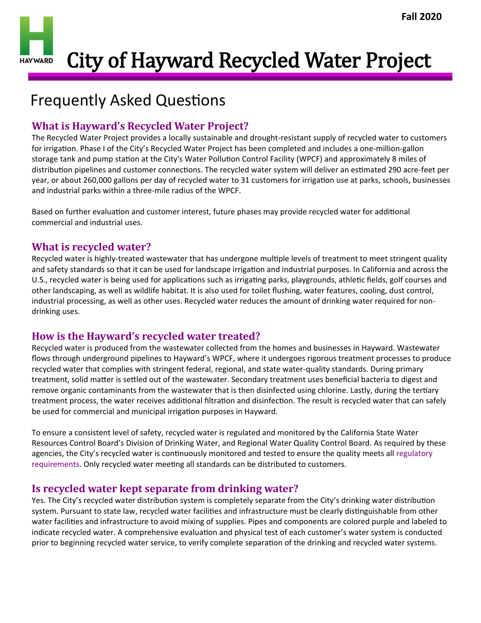City of Hayward Recycled Water Project **HAY WARD** 

# Frequently Asked Questions

## **What is Hayward's Recycled Water Project?**

The Recycled Water Project provides a locally sustainable and drought-resistant supply of recycled water to customers for irrigation. Phase I of the City's Recycled Water Project has been completed and includes a one-million-gallon storage tank and pump station at the City's Water Pollution Control Facility (WPCF) and approximately 8 miles of distribution pipelines and customer connections. The recycled water system will deliver an estimated 290 acre-feet per year, or about 260,000 gallons per day of recycled water to 31 customers for irrigation use at parks, schools, businesses and industrial parks within a three-mile radius of the WPCF.

Based on further evaluation and customer interest, future phases may provide recycled water for additional commercial and industrial uses.

### **What is recycled water?**

Recycled water is highly-treated wastewater that has undergone multiple levels of treatment to meet stringent quality and safety standards so that it can be used for landscape irrigation and industrial purposes. In California and across the U.S., recycled water is being used for applications such as irrigating parks, playgrounds, athletic fields, golf courses and other landscaping, as well as wildlife habitat. It is also used for toilet flushing, water features, cooling, dust control, industrial processing, as well as other uses. Recycled water reduces the amount of drinking water required for nondrinking uses.

## **How is the Hayward's recycled water treated?**

Recycled water is produced from the wastewater collected from the homes and businesses in Hayward. Wastewater flows through underground pipelines to Hayward's WPCF, where it undergoes rigorous treatment processes to produce recycled water that complies with stringent federal, regional, and state water-quality standards. During primary treatment, solid matter is settled out of the wastewater. Secondary treatment uses beneficial bacteria to digest and remove organic contaminants from the wastewater that is then disinfected using chlorine. Lastly, during the tertiary treatment process, the water receives additional filtration and disinfection. The result is recycled water that can safely be used for commercial and municipal irrigation purposes in Hayward.

To ensure a consistent level of safety, recycled water is regulated and monitored by the California State Water Resources Control Board's Division of Drinking Water, and Regional Water Quality Control Board. As required by these agencies, the City's recycled water is continuously monitored and tested to ensure the quality meets all [regulatory](http://www.waterboards.ca.gov/drinking_water/certlic/drinkingwater/Lawbook.shtml)  [requirements.](http://www.waterboards.ca.gov/drinking_water/certlic/drinkingwater/Lawbook.shtml) Only recycled water meeting all standards can be distributed to customers.

## **Is recycled water kept separate from drinking water?**

Yes. The City's recycled water distribution system is completely separate from the City's drinking water distribution system. Pursuant to state law, recycled water facilities and infrastructure must be clearly distinguishable from other water facilities and infrastructure to avoid mixing of supplies. Pipes and components are colored purple and labeled to indicate recycled water. A comprehensive evaluation and physical test of each customer's water system is conducted prior to beginning recycled water service, to verify complete separation of the drinking and recycled water systems.